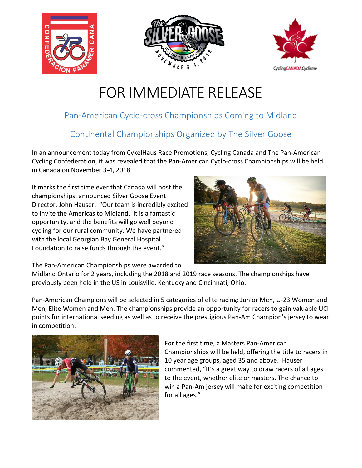





## FOR IMMEDIATE RELEASE

## Pan-American Cyclo-cross Championships Coming to Midland

## Continental Championships Organized by The Silver Goose

In an announcement today from CykelHaus Race Promotions, Cycling Canada and The Pan-American Cycling Confederation, it was revealed that the Pan-American Cyclo-cross Championships will be held in Canada on November 3-4, 2018.

It marks the first time ever that Canada will host the championships, announced Silver Goose Event Director, John Hauser. "Our team is incredibly excited to invite the Americas to Midland. It is a fantastic opportunity, and the benefits will go well beyond cycling for our rural community. We have partnered with the local Georgian Bay General Hospital Foundation to raise funds through the event."



The Pan-American Championships were awarded to

Midland Ontario for 2 years, including the 2018 and 2019 race seasons. The championships have previously been held in the US in Louisville, Kentucky and Cincinnati, Ohio.

Pan-American Champions will be selected in 5 categories of elite racing: Junior Men, U-23 Women and Men, Elite Women and Men. The championships provide an opportunity for racers to gain valuable UCI points for international seeding as well as to receive the prestigious Pan-Am Champion's jersey to wear in competition.



For the first time, a Masters Pan-American Championships will be held, offering the title to racers in 10 year age groups, aged 35 and above. Hauser commented, "It's a great way to draw racers of all ages to the event, whether elite or masters. The chance to win a Pan-Am jersey will make for exciting competition for all ages."